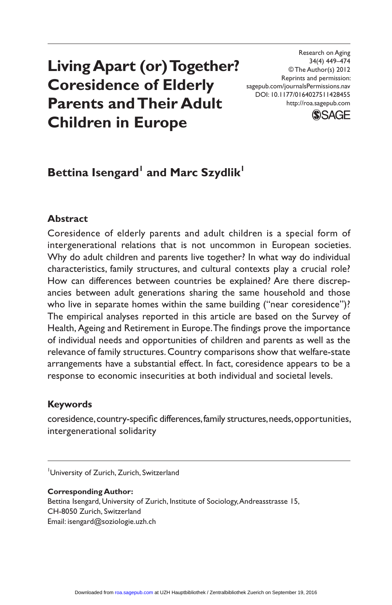# **Living Apart (or) Together? Coresidence of Elderly Parents and Their Adult Children in Europe**

Research on Aging 34(4) 449–474 © The Author(s) 2012 Reprints and permission: sagepub.com/journalsPermissions.nav DOI: 10.1177/0164027511428455 http://roa.sagepub.com



## $\mathsf{B}\text{ettina Isengard}^{\mathsf{I}}$  and Marc Szydlik<sup>l</sup>

#### **Abstract**

Coresidence of elderly parents and adult children is a special form of intergenerational relations that is not uncommon in European societies. Why do adult children and parents live together? In what way do individual characteristics, family structures, and cultural contexts play a crucial role? How can differences between countries be explained? Are there discrepancies between adult generations sharing the same household and those who live in separate homes within the same building ("near coresidence")? The empirical analyses reported in this article are based on the Survey of Health, Ageing and Retirement in Europe. The findings prove the importance of individual needs and opportunities of children and parents as well as the relevance of family structures. Country comparisons show that welfare-state arrangements have a substantial effect. In fact, coresidence appears to be a response to economic insecurities at both individual and societal levels.

#### **Keywords**

coresidence, country-specific differences, family structures, needs, opportunities, intergenerational solidarity

University of Zurich, Zurich, Switzerland

**Corresponding Author:** Bettina Isengard, University of Zurich, Institute of Sociology, Andreasstrasse 15, CH-8050 Zurich, Switzerland Email: isengard@soziologie.uzh.ch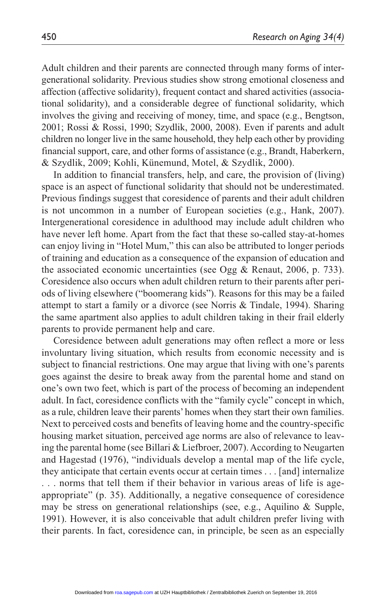Adult children and their parents are connected through many forms of intergenerational solidarity. Previous studies show strong emotional closeness and affection (affective solidarity), frequent contact and shared activities (associational solidarity), and a considerable degree of functional solidarity, which involves the giving and receiving of money, time, and space (e.g., Bengtson, 2001; Rossi & Rossi, 1990; Szydlik, 2000, 2008). Even if parents and adult children no longer live in the same household, they help each other by providing financial support, care, and other forms of assistance (e.g., Brandt, Haberkern, & Szydlik, 2009; Kohli, Künemund, Motel, & Szydlik, 2000).

In addition to financial transfers, help, and care, the provision of (living) space is an aspect of functional solidarity that should not be underestimated. Previous findings suggest that coresidence of parents and their adult children is not uncommon in a number of European societies (e.g., Hank, 2007). Intergenerational coresidence in adulthood may include adult children who have never left home. Apart from the fact that these so-called stay-at-homes can enjoy living in "Hotel Mum," this can also be attributed to longer periods of training and education as a consequence of the expansion of education and the associated economic uncertainties (see Ogg & Renaut, 2006, p. 733). Coresidence also occurs when adult children return to their parents after periods of living elsewhere ("boomerang kids"). Reasons for this may be a failed attempt to start a family or a divorce (see Norris & Tindale, 1994). Sharing the same apartment also applies to adult children taking in their frail elderly parents to provide permanent help and care.

Coresidence between adult generations may often reflect a more or less involuntary living situation, which results from economic necessity and is subject to financial restrictions. One may argue that living with one's parents goes against the desire to break away from the parental home and stand on one's own two feet, which is part of the process of becoming an independent adult. In fact, coresidence conflicts with the "family cycle" concept in which, as a rule, children leave their parents' homes when they start their own families. Next to perceived costs and benefits of leaving home and the country-specific housing market situation, perceived age norms are also of relevance to leaving the parental home (see Billari & Liefbroer, 2007). According to Neugarten and Hagestad (1976), "individuals develop a mental map of the life cycle, they anticipate that certain events occur at certain times . . . [and] internalize . . . norms that tell them if their behavior in various areas of life is ageappropriate" (p. 35). Additionally, a negative consequence of coresidence may be stress on generational relationships (see, e.g., Aquilino & Supple, 1991). However, it is also conceivable that adult children prefer living with their parents. In fact, coresidence can, in principle, be seen as an especially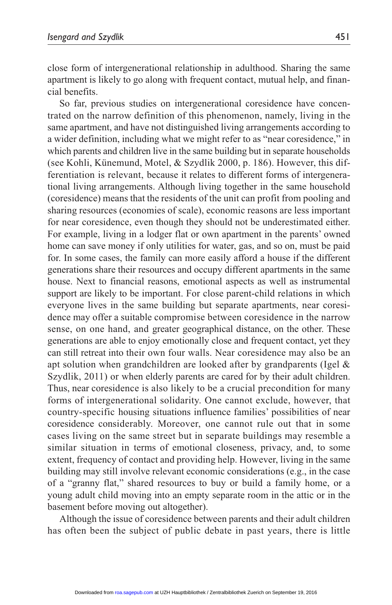close form of intergenerational relationship in adulthood. Sharing the same apartment is likely to go along with frequent contact, mutual help, and financial benefits.

So far, previous studies on intergenerational coresidence have concentrated on the narrow definition of this phenomenon, namely, living in the same apartment, and have not distinguished living arrangements according to a wider definition, including what we might refer to as "near coresidence," in which parents and children live in the same building but in separate households (see Kohli, Künemund, Motel, & Szydlik 2000, p. 186). However, this differentiation is relevant, because it relates to different forms of intergenerational living arrangements. Although living together in the same household (coresidence) means that the residents of the unit can profit from pooling and sharing resources (economies of scale), economic reasons are less important for near coresidence, even though they should not be underestimated either. For example, living in a lodger flat or own apartment in the parents' owned home can save money if only utilities for water, gas, and so on, must be paid for. In some cases, the family can more easily afford a house if the different generations share their resources and occupy different apartments in the same house. Next to financial reasons, emotional aspects as well as instrumental support are likely to be important. For close parent-child relations in which everyone lives in the same building but separate apartments, near coresidence may offer a suitable compromise between coresidence in the narrow sense, on one hand, and greater geographical distance, on the other. These generations are able to enjoy emotionally close and frequent contact, yet they can still retreat into their own four walls. Near coresidence may also be an apt solution when grandchildren are looked after by grandparents (Igel & Szydlik, 2011) or when elderly parents are cared for by their adult children. Thus, near coresidence is also likely to be a crucial precondition for many forms of intergenerational solidarity. One cannot exclude, however, that country-specific housing situations influence families' possibilities of near coresidence considerably. Moreover, one cannot rule out that in some cases living on the same street but in separate buildings may resemble a similar situation in terms of emotional closeness, privacy, and, to some extent, frequency of contact and providing help. However, living in the same building may still involve relevant economic considerations (e.g., in the case of a "granny flat," shared resources to buy or build a family home, or a young adult child moving into an empty separate room in the attic or in the basement before moving out altogether).

Although the issue of coresidence between parents and their adult children has often been the subject of public debate in past years, there is little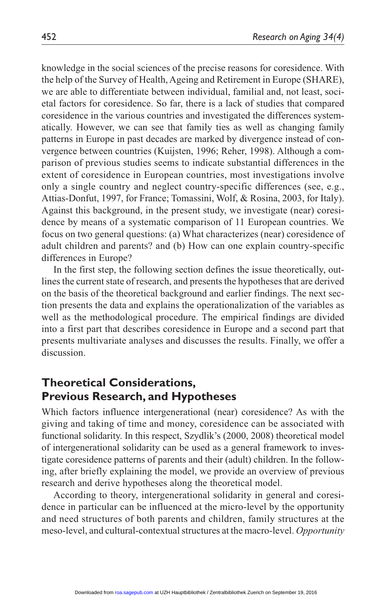knowledge in the social sciences of the precise reasons for coresidence. With the help of the Survey of Health, Ageing and Retirement in Europe (SHARE), we are able to differentiate between individual, familial and, not least, societal factors for coresidence. So far, there is a lack of studies that compared coresidence in the various countries and investigated the differences systematically. However, we can see that family ties as well as changing family patterns in Europe in past decades are marked by divergence instead of convergence between countries (Kuijsten, 1996; Reher, 1998). Although a comparison of previous studies seems to indicate substantial differences in the extent of coresidence in European countries, most investigations involve only a single country and neglect country-specific differences (see, e.g., Attias-Donfut, 1997, for France; Tomassini, Wolf, & Rosina, 2003, for Italy). Against this background, in the present study, we investigate (near) coresidence by means of a systematic comparison of 11 European countries. We focus on two general questions: (a) What characterizes (near) coresidence of adult children and parents? and (b) How can one explain country-specific differences in Europe?

In the first step, the following section defines the issue theoretically, outlines the current state of research, and presents the hypotheses that are derived on the basis of the theoretical background and earlier findings. The next section presents the data and explains the operationalization of the variables as well as the methodological procedure. The empirical findings are divided into a first part that describes coresidence in Europe and a second part that presents multivariate analyses and discusses the results. Finally, we offer a discussion.

### **Theoretical Considerations, Previous Research, and Hypotheses**

Which factors influence intergenerational (near) coresidence? As with the giving and taking of time and money, coresidence can be associated with functional solidarity. In this respect, Szydlik's (2000, 2008) theoretical model of intergenerational solidarity can be used as a general framework to investigate coresidence patterns of parents and their (adult) children. In the following, after briefly explaining the model, we provide an overview of previous research and derive hypotheses along the theoretical model.

According to theory, intergenerational solidarity in general and coresidence in particular can be influenced at the micro-level by the opportunity and need structures of both parents and children, family structures at the meso-level, and cultural-contextual structures at the macro-level. *Opportunity*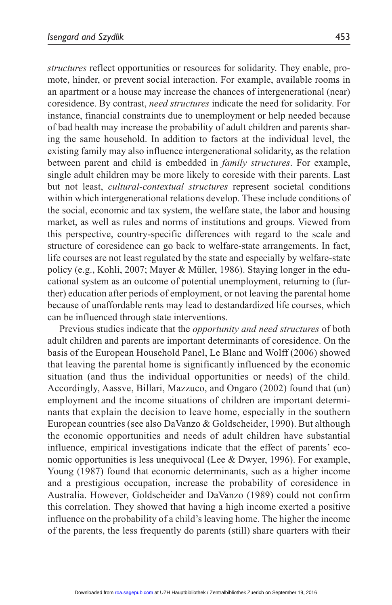*structures* reflect opportunities or resources for solidarity. They enable, promote, hinder, or prevent social interaction. For example, available rooms in an apartment or a house may increase the chances of intergenerational (near) coresidence. By contrast, *need structures* indicate the need for solidarity. For instance, financial constraints due to unemployment or help needed because of bad health may increase the probability of adult children and parents sharing the same household. In addition to factors at the individual level, the existing family may also influence intergenerational solidarity, as the relation between parent and child is embedded in *family structures*. For example, single adult children may be more likely to coreside with their parents. Last but not least, *cultural-contextual structures* represent societal conditions within which intergenerational relations develop. These include conditions of the social, economic and tax system, the welfare state, the labor and housing market, as well as rules and norms of institutions and groups. Viewed from this perspective, country-specific differences with regard to the scale and structure of coresidence can go back to welfare-state arrangements. In fact, life courses are not least regulated by the state and especially by welfare-state policy (e.g., Kohli, 2007; Mayer & Müller, 1986). Staying longer in the educational system as an outcome of potential unemployment, returning to (further) education after periods of employment, or not leaving the parental home because of unaffordable rents may lead to destandardized life courses, which can be influenced through state interventions.

Previous studies indicate that the *opportunity and need structures* of both adult children and parents are important determinants of coresidence. On the basis of the European Household Panel, Le Blanc and Wolff (2006) showed that leaving the parental home is significantly influenced by the economic situation (and thus the individual opportunities or needs) of the child. Accordingly, Aassve, Billari, Mazzuco, and Ongaro (2002) found that (un) employment and the income situations of children are important determinants that explain the decision to leave home, especially in the southern European countries (see also DaVanzo & Goldscheider, 1990). But although the economic opportunities and needs of adult children have substantial influence, empirical investigations indicate that the effect of parents' economic opportunities is less unequivocal (Lee & Dwyer, 1996). For example, Young (1987) found that economic determinants, such as a higher income and a prestigious occupation, increase the probability of coresidence in Australia. However, Goldscheider and DaVanzo (1989) could not confirm this correlation. They showed that having a high income exerted a positive influence on the probability of a child's leaving home. The higher the income of the parents, the less frequently do parents (still) share quarters with their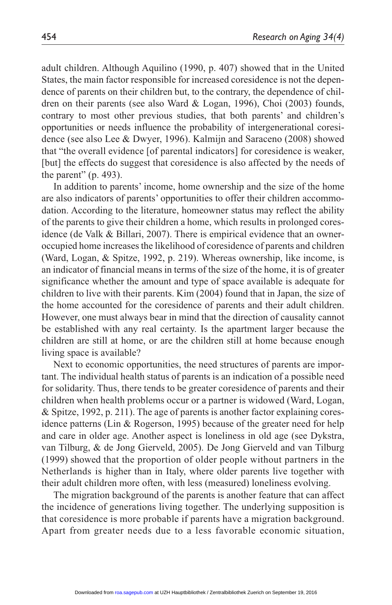adult children. Although Aquilino (1990, p. 407) showed that in the United States, the main factor responsible for increased coresidence is not the dependence of parents on their children but, to the contrary, the dependence of children on their parents (see also Ward & Logan, 1996), Choi (2003) founds, contrary to most other previous studies, that both parents' and children's opportunities or needs influence the probability of intergenerational coresidence (see also Lee & Dwyer, 1996). Kalmijn and Saraceno (2008) showed that "the overall evidence [of parental indicators] for coresidence is weaker, [but] the effects do suggest that coresidence is also affected by the needs of the parent" (p. 493).

In addition to parents' income, home ownership and the size of the home are also indicators of parents' opportunities to offer their children accommodation. According to the literature, homeowner status may reflect the ability of the parents to give their children a home, which results in prolonged coresidence (de Valk & Billari, 2007). There is empirical evidence that an owneroccupied home increases the likelihood of coresidence of parents and children (Ward, Logan, & Spitze, 1992, p. 219). Whereas ownership, like income, is an indicator of financial means in terms of the size of the home, it is of greater significance whether the amount and type of space available is adequate for children to live with their parents. Kim (2004) found that in Japan, the size of the home accounted for the coresidence of parents and their adult children. However, one must always bear in mind that the direction of causality cannot be established with any real certainty. Is the apartment larger because the children are still at home, or are the children still at home because enough living space is available?

Next to economic opportunities, the need structures of parents are important. The individual health status of parents is an indication of a possible need for solidarity. Thus, there tends to be greater coresidence of parents and their children when health problems occur or a partner is widowed (Ward, Logan, & Spitze, 1992, p. 211). The age of parents is another factor explaining coresidence patterns (Lin & Rogerson, 1995) because of the greater need for help and care in older age. Another aspect is loneliness in old age (see Dykstra, van Tilburg, & de Jong Gierveld, 2005). De Jong Gierveld and van Tilburg (1999) showed that the proportion of older people without partners in the Netherlands is higher than in Italy, where older parents live together with their adult children more often, with less (measured) loneliness evolving.

The migration background of the parents is another feature that can affect the incidence of generations living together. The underlying supposition is that coresidence is more probable if parents have a migration background. Apart from greater needs due to a less favorable economic situation,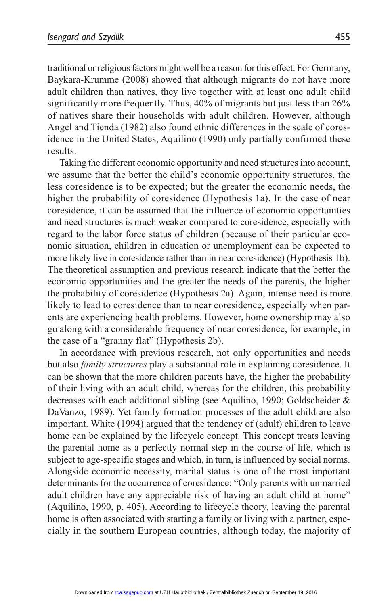traditional or religious factors might well be a reason for this effect. For Germany, Baykara-Krumme (2008) showed that although migrants do not have more adult children than natives, they live together with at least one adult child significantly more frequently. Thus, 40% of migrants but just less than 26% of natives share their households with adult children. However, although Angel and Tienda (1982) also found ethnic differences in the scale of coresidence in the United States, Aquilino (1990) only partially confirmed these results.

Taking the different economic opportunity and need structures into account, we assume that the better the child's economic opportunity structures, the less coresidence is to be expected; but the greater the economic needs, the higher the probability of coresidence (Hypothesis 1a). In the case of near coresidence, it can be assumed that the influence of economic opportunities and need structures is much weaker compared to coresidence, especially with regard to the labor force status of children (because of their particular economic situation, children in education or unemployment can be expected to more likely live in coresidence rather than in near coresidence) (Hypothesis 1b). The theoretical assumption and previous research indicate that the better the economic opportunities and the greater the needs of the parents, the higher the probability of coresidence (Hypothesis 2a). Again, intense need is more likely to lead to coresidence than to near coresidence, especially when parents are experiencing health problems. However, home ownership may also go along with a considerable frequency of near coresidence, for example, in the case of a "granny flat" (Hypothesis 2b).

In accordance with previous research, not only opportunities and needs but also *family structures* play a substantial role in explaining coresidence. It can be shown that the more children parents have, the higher the probability of their living with an adult child, whereas for the children, this probability decreases with each additional sibling (see Aquilino, 1990; Goldscheider & DaVanzo, 1989). Yet family formation processes of the adult child are also important. White (1994) argued that the tendency of (adult) children to leave home can be explained by the lifecycle concept. This concept treats leaving the parental home as a perfectly normal step in the course of life, which is subject to age-specific stages and which, in turn, is influenced by social norms. Alongside economic necessity, marital status is one of the most important determinants for the occurrence of coresidence: "Only parents with unmarried adult children have any appreciable risk of having an adult child at home" (Aquilino, 1990, p. 405). According to lifecycle theory, leaving the parental home is often associated with starting a family or living with a partner, especially in the southern European countries, although today, the majority of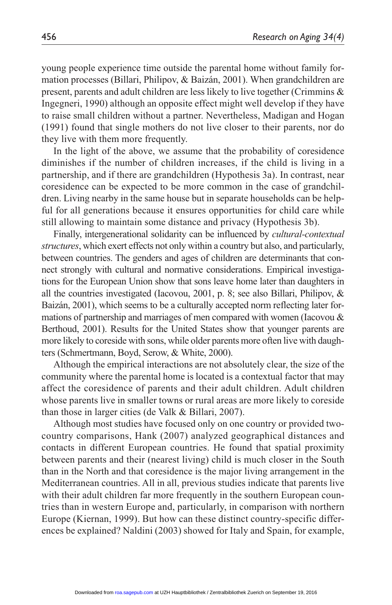young people experience time outside the parental home without family formation processes (Billari, Philipov, & Baizán, 2001). When grandchildren are present, parents and adult children are less likely to live together (Crimmins & Ingegneri, 1990) although an opposite effect might well develop if they have to raise small children without a partner. Nevertheless, Madigan and Hogan (1991) found that single mothers do not live closer to their parents, nor do they live with them more frequently.

In the light of the above, we assume that the probability of coresidence diminishes if the number of children increases, if the child is living in a partnership, and if there are grandchildren (Hypothesis 3a). In contrast, near coresidence can be expected to be more common in the case of grandchildren. Living nearby in the same house but in separate households can be helpful for all generations because it ensures opportunities for child care while still allowing to maintain some distance and privacy (Hypothesis 3b).

Finally, intergenerational solidarity can be influenced by *cultural-contextual structures*, which exert effects not only within a country but also, and particularly, between countries. The genders and ages of children are determinants that connect strongly with cultural and normative considerations. Empirical investigations for the European Union show that sons leave home later than daughters in all the countries investigated (Iacovou, 2001, p. 8; see also Billari, Philipov, & Baizán, 2001), which seems to be a culturally accepted norm reflecting later formations of partnership and marriages of men compared with women (Iacovou & Berthoud, 2001). Results for the United States show that younger parents are more likely to coreside with sons, while older parents more often live with daughters (Schmertmann, Boyd, Serow, & White, 2000).

Although the empirical interactions are not absolutely clear, the size of the community where the parental home is located is a contextual factor that may affect the coresidence of parents and their adult children. Adult children whose parents live in smaller towns or rural areas are more likely to coreside than those in larger cities (de Valk & Billari, 2007).

Although most studies have focused only on one country or provided twocountry comparisons, Hank (2007) analyzed geographical distances and contacts in different European countries. He found that spatial proximity between parents and their (nearest living) child is much closer in the South than in the North and that coresidence is the major living arrangement in the Mediterranean countries. All in all, previous studies indicate that parents live with their adult children far more frequently in the southern European countries than in western Europe and, particularly, in comparison with northern Europe (Kiernan, 1999). But how can these distinct country-specific differences be explained? Naldini (2003) showed for Italy and Spain, for example,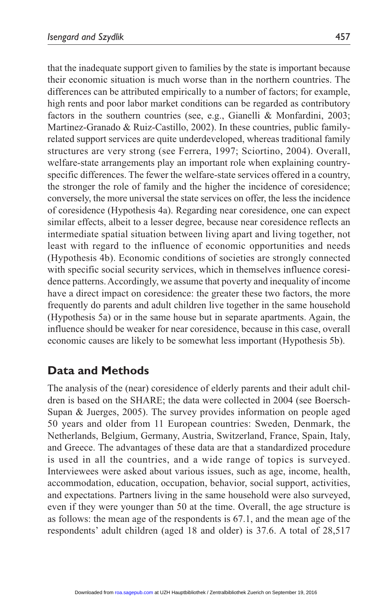that the inadequate support given to families by the state is important because their economic situation is much worse than in the northern countries. The differences can be attributed empirically to a number of factors; for example, high rents and poor labor market conditions can be regarded as contributory factors in the southern countries (see, e.g., Gianelli & Monfardini, 2003; Martinez-Granado & Ruiz-Castillo, 2002). In these countries, public familyrelated support services are quite underdeveloped, whereas traditional family structures are very strong (see Ferrera, 1997; Sciortino, 2004). Overall, welfare-state arrangements play an important role when explaining countryspecific differences. The fewer the welfare-state services offered in a country, the stronger the role of family and the higher the incidence of coresidence; conversely, the more universal the state services on offer, the less the incidence of coresidence (Hypothesis 4a). Regarding near coresidence, one can expect similar effects, albeit to a lesser degree, because near coresidence reflects an intermediate spatial situation between living apart and living together, not least with regard to the influence of economic opportunities and needs (Hypothesis 4b). Economic conditions of societies are strongly connected with specific social security services, which in themselves influence coresidence patterns. Accordingly, we assume that poverty and inequality of income have a direct impact on coresidence: the greater these two factors, the more frequently do parents and adult children live together in the same household (Hypothesis 5a) or in the same house but in separate apartments. Again, the influence should be weaker for near coresidence, because in this case, overall economic causes are likely to be somewhat less important (Hypothesis 5b).

## **Data and Methods**

The analysis of the (near) coresidence of elderly parents and their adult children is based on the SHARE; the data were collected in 2004 (see Boersch-Supan & Juerges, 2005). The survey provides information on people aged 50 years and older from 11 European countries: Sweden, Denmark, the Netherlands, Belgium, Germany, Austria, Switzerland, France, Spain, Italy, and Greece. The advantages of these data are that a standardized procedure is used in all the countries, and a wide range of topics is surveyed. Interviewees were asked about various issues, such as age, income, health, accommodation, education, occupation, behavior, social support, activities, and expectations. Partners living in the same household were also surveyed, even if they were younger than 50 at the time. Overall, the age structure is as follows: the mean age of the respondents is 67.1, and the mean age of the respondents' adult children (aged 18 and older) is 37.6. A total of 28,517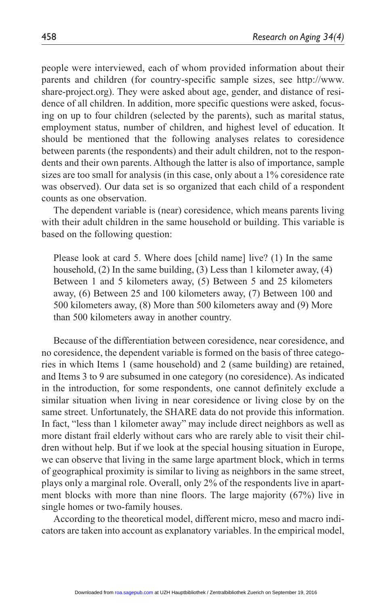people were interviewed, each of whom provided information about their parents and children (for country-specific sample sizes, see http://www. share-project.org). They were asked about age, gender, and distance of residence of all children. In addition, more specific questions were asked, focusing on up to four children (selected by the parents), such as marital status, employment status, number of children, and highest level of education. It should be mentioned that the following analyses relates to coresidence between parents (the respondents) and their adult children, not to the respondents and their own parents. Although the latter is also of importance, sample sizes are too small for analysis (in this case, only about a 1% coresidence rate was observed). Our data set is so organized that each child of a respondent counts as one observation.

The dependent variable is (near) coresidence, which means parents living with their adult children in the same household or building. This variable is based on the following question:

Please look at card 5. Where does [child name] live? (1) In the same household, (2) In the same building, (3) Less than 1 kilometer away, (4) Between 1 and 5 kilometers away, (5) Between 5 and 25 kilometers away, (6) Between 25 and 100 kilometers away, (7) Between 100 and 500 kilometers away, (8) More than 500 kilometers away and (9) More than 500 kilometers away in another country.

Because of the differentiation between coresidence, near coresidence, and no coresidence, the dependent variable is formed on the basis of three categories in which Items 1 (same household) and 2 (same building) are retained, and Items 3 to 9 are subsumed in one category (no coresidence). As indicated in the introduction, for some respondents, one cannot definitely exclude a similar situation when living in near coresidence or living close by on the same street. Unfortunately, the SHARE data do not provide this information. In fact, "less than 1 kilometer away" may include direct neighbors as well as more distant frail elderly without cars who are rarely able to visit their children without help. But if we look at the special housing situation in Europe, we can observe that living in the same large apartment block, which in terms of geographical proximity is similar to living as neighbors in the same street, plays only a marginal role. Overall, only 2% of the respondents live in apartment blocks with more than nine floors. The large majority (67%) live in single homes or two-family houses.

According to the theoretical model, different micro, meso and macro indicators are taken into account as explanatory variables. In the empirical model,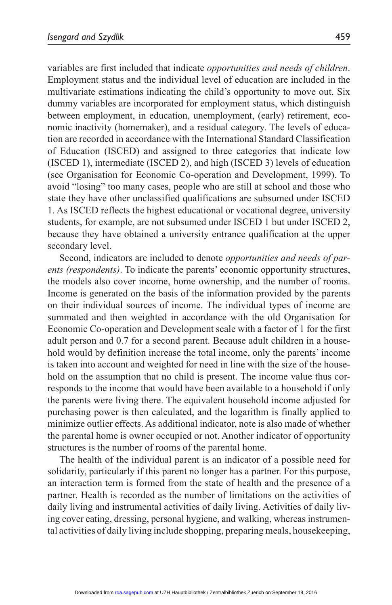variables are first included that indicate *opportunities and needs of children*. Employment status and the individual level of education are included in the multivariate estimations indicating the child's opportunity to move out. Six dummy variables are incorporated for employment status, which distinguish between employment, in education, unemployment, (early) retirement, economic inactivity (homemaker), and a residual category. The levels of education are recorded in accordance with the International Standard Classification of Education (ISCED) and assigned to three categories that indicate low (ISCED 1), intermediate (ISCED 2), and high (ISCED 3) levels of education (see Organisation for Economic Co-operation and Development, 1999). To avoid "losing" too many cases, people who are still at school and those who state they have other unclassified qualifications are subsumed under ISCED 1. As ISCED reflects the highest educational or vocational degree, university students, for example, are not subsumed under ISCED 1 but under ISCED 2, because they have obtained a university entrance qualification at the upper secondary level.

Second, indicators are included to denote *opportunities and needs of parents (respondents)*. To indicate the parents' economic opportunity structures, the models also cover income, home ownership, and the number of rooms. Income is generated on the basis of the information provided by the parents on their individual sources of income. The individual types of income are summated and then weighted in accordance with the old Organisation for Economic Co-operation and Development scale with a factor of 1 for the first adult person and 0.7 for a second parent. Because adult children in a household would by definition increase the total income, only the parents' income is taken into account and weighted for need in line with the size of the household on the assumption that no child is present. The income value thus corresponds to the income that would have been available to a household if only the parents were living there. The equivalent household income adjusted for purchasing power is then calculated, and the logarithm is finally applied to minimize outlier effects. As additional indicator, note is also made of whether the parental home is owner occupied or not. Another indicator of opportunity structures is the number of rooms of the parental home.

The health of the individual parent is an indicator of a possible need for solidarity, particularly if this parent no longer has a partner. For this purpose, an interaction term is formed from the state of health and the presence of a partner. Health is recorded as the number of limitations on the activities of daily living and instrumental activities of daily living. Activities of daily living cover eating, dressing, personal hygiene, and walking, whereas instrumental activities of daily living include shopping, preparing meals, housekeeping,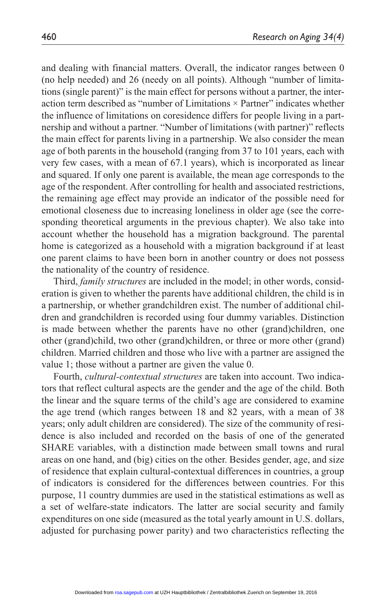and dealing with financial matters. Overall, the indicator ranges between 0 (no help needed) and 26 (needy on all points). Although "number of limitations (single parent)" is the main effect for persons without a partner, the interaction term described as "number of Limitations × Partner" indicates whether the influence of limitations on coresidence differs for people living in a partnership and without a partner. "Number of limitations (with partner)" reflects the main effect for parents living in a partnership. We also consider the mean age of both parents in the household (ranging from 37 to 101 years, each with very few cases, with a mean of 67.1 years), which is incorporated as linear and squared. If only one parent is available, the mean age corresponds to the age of the respondent. After controlling for health and associated restrictions, the remaining age effect may provide an indicator of the possible need for emotional closeness due to increasing loneliness in older age (see the corresponding theoretical arguments in the previous chapter). We also take into account whether the household has a migration background. The parental home is categorized as a household with a migration background if at least one parent claims to have been born in another country or does not possess the nationality of the country of residence.

Third, *family structures* are included in the model; in other words, consideration is given to whether the parents have additional children, the child is in a partnership, or whether grandchildren exist. The number of additional children and grandchildren is recorded using four dummy variables. Distinction is made between whether the parents have no other (grand)children, one other (grand)child, two other (grand)children, or three or more other (grand) children. Married children and those who live with a partner are assigned the value 1; those without a partner are given the value 0.

Fourth, *cultural-contextual structures* are taken into account. Two indicators that reflect cultural aspects are the gender and the age of the child. Both the linear and the square terms of the child's age are considered to examine the age trend (which ranges between 18 and 82 years, with a mean of 38 years; only adult children are considered). The size of the community of residence is also included and recorded on the basis of one of the generated SHARE variables, with a distinction made between small towns and rural areas on one hand, and (big) cities on the other. Besides gender, age, and size of residence that explain cultural-contextual differences in countries, a group of indicators is considered for the differences between countries. For this purpose, 11 country dummies are used in the statistical estimations as well as a set of welfare-state indicators. The latter are social security and family expenditures on one side (measured as the total yearly amount in U.S. dollars, adjusted for purchasing power parity) and two characteristics reflecting the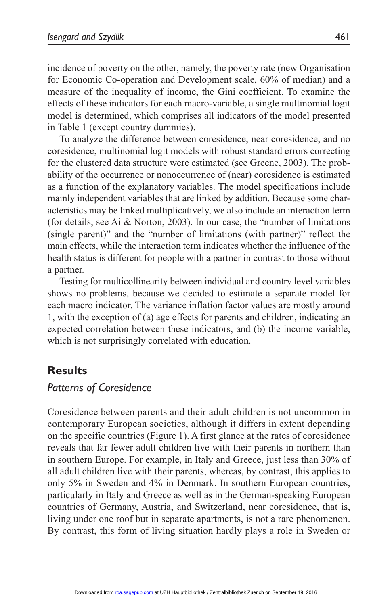incidence of poverty on the other, namely, the poverty rate (new Organisation for Economic Co-operation and Development scale, 60% of median) and a measure of the inequality of income, the Gini coefficient. To examine the effects of these indicators for each macro-variable, a single multinomial logit model is determined, which comprises all indicators of the model presented in Table 1 (except country dummies).

To analyze the difference between coresidence, near coresidence, and no coresidence, multinomial logit models with robust standard errors correcting for the clustered data structure were estimated (see Greene, 2003). The probability of the occurrence or nonoccurrence of (near) coresidence is estimated as a function of the explanatory variables. The model specifications include mainly independent variables that are linked by addition. Because some characteristics may be linked multiplicatively, we also include an interaction term (for details, see Ai & Norton, 2003). In our case, the "number of limitations" (single parent)" and the "number of limitations (with partner)" reflect the main effects, while the interaction term indicates whether the influence of the health status is different for people with a partner in contrast to those without a partner.

Testing for multicollinearity between individual and country level variables shows no problems, because we decided to estimate a separate model for each macro indicator. The variance inflation factor values are mostly around 1, with the exception of (a) age effects for parents and children, indicating an expected correlation between these indicators, and (b) the income variable, which is not surprisingly correlated with education.

#### **Results**

#### *Patterns of Coresidence*

Coresidence between parents and their adult children is not uncommon in contemporary European societies, although it differs in extent depending on the specific countries (Figure 1). A first glance at the rates of coresidence reveals that far fewer adult children live with their parents in northern than in southern Europe. For example, in Italy and Greece, just less than 30% of all adult children live with their parents, whereas, by contrast, this applies to only 5% in Sweden and 4% in Denmark. In southern European countries, particularly in Italy and Greece as well as in the German-speaking European countries of Germany, Austria, and Switzerland, near coresidence, that is, living under one roof but in separate apartments, is not a rare phenomenon. By contrast, this form of living situation hardly plays a role in Sweden or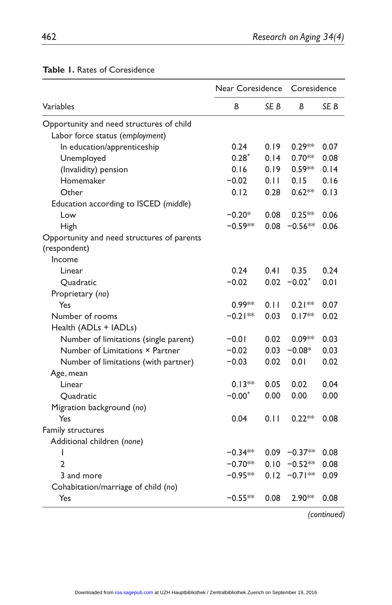|                                            | Near Coresidence |      | Coresidence    |      |
|--------------------------------------------|------------------|------|----------------|------|
| Variables                                  | B                | SE B | B              | SE B |
| Opportunity and need structures of child   |                  |      |                |      |
| Labor force status (employment)            |                  |      |                |      |
| In education/apprenticeship                | 0.24             | 0.19 | $0.29***$      | 0.07 |
| Unemployed                                 | $0.28^{+}$       | 0.14 | $0.70***$      | 0.08 |
| (Invalidity) pension                       | 0.16             | 0.19 | $0.59***$      | 0.14 |
| Homemaker                                  | $-0.02$          | 0.11 | 0.15           | 0.16 |
| Other                                      | 0.12             | 0.28 | $0.62**$       | 0.13 |
| Education according to ISCED (middle)      |                  |      |                |      |
| Low                                        | $-0.20*$         | 0.08 | $0.25***$      | 0.06 |
| High                                       | $-0.59**$        | 0.08 | $-0.56**$      | 0.06 |
| Opportunity and need structures of parents |                  |      |                |      |
| (respondent)                               |                  |      |                |      |
| Income                                     |                  |      |                |      |
| Linear                                     | 0.24             | 0.41 | 0.35           | 0.24 |
| Quadratic                                  | $-0.02$          | 0.02 | $-0.02^{+}$    | 0.01 |
| Proprietary (no)                           |                  |      |                |      |
| Yes                                        | $0.99**$         | 0.11 | $0.21***$      | 0.07 |
| Number of rooms                            | $-0.21**$        | 0.03 | $0.17**$       | 0.02 |
| Health (ADLs + IADLs)                      |                  |      |                |      |
| Number of limitations (single parent)      | $-0.01$          | 0.02 | $0.09**$       | 0.03 |
| Number of Limitations × Partner            | $-0.02$          | 0.03 | $-0.08*$       | 0.03 |
| Number of limitations (with partner)       | $-0.03$          | 0.02 | 0.01           | 0.02 |
| Age, mean                                  |                  |      |                |      |
| Linear                                     | $0.13**$         | 0.05 | 0.02           | 0.04 |
| Ouadratic                                  | $-0.00^{+}$      | 0.00 | 0.00           | 0.00 |
| Migration background (no)                  |                  |      |                |      |
| Yes                                        | 0.04             | 0.11 | $0.22**$       | 0.08 |
| Family structures                          |                  |      |                |      |
| Additional children (none)                 |                  |      |                |      |
| ı                                          | $-0.34**$        | 0.09 | $-0.37**$      | 0.08 |
| $\overline{2}$                             | $-0.70**$        | 0.10 | $-0.52**$      | 0.08 |
| 3 and more                                 | $-0.95**$        |      | $0.12 -0.71**$ | 0.09 |
| Cohabitation/marriage of child (no)        |                  |      |                |      |
| Yes                                        | $-0.55**$        | 0.08 | 2.90**         | 0.08 |
|                                            |                  |      |                |      |

#### **Table 1.** Rates of Coresidence

*(continued)*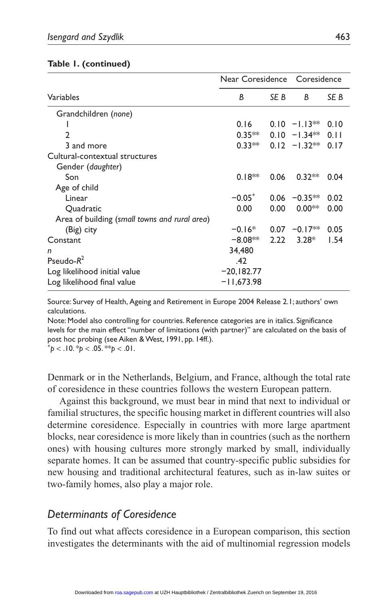|  | Table I. (continued) |  |
|--|----------------------|--|
|  |                      |  |

|                                               | Near Coresidence Coresidence |      |                           |      |  |
|-----------------------------------------------|------------------------------|------|---------------------------|------|--|
| Variables                                     | B                            | SE B | <sub>B</sub>              | SE B |  |
| Grandchildren (none)                          |                              |      |                           |      |  |
|                                               | 0.16                         |      | $0.10 - 1.13**$           | 0.10 |  |
| $\mathfrak{p}$                                | $0.35***$                    |      | $0.10 - 1.34**$           | 0.11 |  |
| 3 and more                                    |                              |      | $0.33***$ 0.12 $-1.32***$ | 0.17 |  |
| Cultural-contextual structures                |                              |      |                           |      |  |
| Gender (daughter)                             |                              |      |                           |      |  |
| Son                                           | $0.18**$                     | 0.06 | $0.32**$                  | 0.04 |  |
| Age of child                                  |                              |      |                           |      |  |
| Linear                                        | $-0.05^{+}$                  | 0.06 | $-0.35**$                 | 0.02 |  |
| Quadratic                                     | 0.00                         | 0.00 | $0.00**$                  | 0.00 |  |
| Area of building (small towns and rural area) |                              |      |                           |      |  |
| (Big) city                                    | $-0.16*$                     | 0.07 | $-0.17**$                 | 0.05 |  |
| Constant                                      | $-8.08**$                    | 2.22 | $3.28*$                   | 1.54 |  |
| n                                             | 34,480                       |      |                           |      |  |
| Pseudo- $R^2$                                 | .42                          |      |                           |      |  |
| Log likelihood initial value                  | $-20,182.77$                 |      |                           |      |  |
| Log likelihood final value                    | -11,673.98                   |      |                           |      |  |

Source: Survey of Health, Ageing and Retirement in Europe 2004 Release 2.1; authors' own calculations.

Note: Model also controlling for countries. Reference categories are in italics. Significance levels for the main effect "number of limitations (with partner)" are calculated on the basis of post hoc probing (see Aiken & West, 1991, pp. 14ff.).

 $p^+p$  < .10. \* $p$  < .05. \*\* $p$  < .01.

Denmark or in the Netherlands, Belgium, and France, although the total rate of coresidence in these countries follows the western European pattern.

Against this background, we must bear in mind that next to individual or familial structures, the specific housing market in different countries will also determine coresidence. Especially in countries with more large apartment blocks, near coresidence is more likely than in countries (such as the northern ones) with housing cultures more strongly marked by small, individually separate homes. It can be assumed that country-specific public subsidies for new housing and traditional architectural features, such as in-law suites or two-family homes, also play a major role.

#### *Determinants of Coresidence*

To find out what affects coresidence in a European comparison, this section investigates the determinants with the aid of multinomial regression models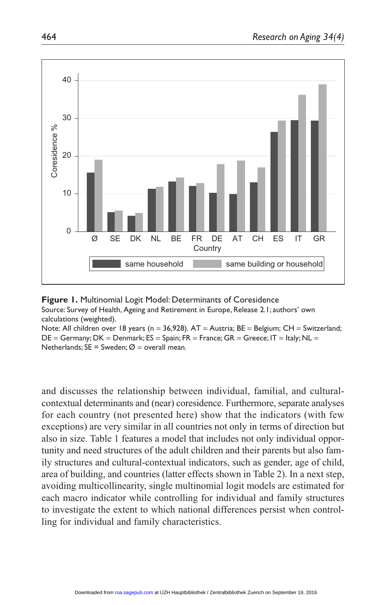

#### **Figure 1.** Multinomial Logit Model: Determinants of Coresidence Source: Survey of Health, Ageing and Retirement in Europe, Release 2.1; authors' own calculations (weighted).

Note: All children over 18 years (n = 36,928). AT = Austria;  $BE = Belgium$ ; CH = Switzerland;  $DE =$  Germany;  $DK =$  Denmark;  $ES =$  Spain;  $FR =$  France;  $GR =$  Greece;  $IT =$  Italy;  $NL =$ Netherlands:  $SF = Sweden: Ø = overall mean$ .

and discusses the relationship between individual, familial, and culturalcontextual determinants and (near) coresidence. Furthermore, separate analyses for each country (not presented here) show that the indicators (with few exceptions) are very similar in all countries not only in terms of direction but also in size. Table 1 features a model that includes not only individual opportunity and need structures of the adult children and their parents but also family structures and cultural-contextual indicators, such as gender, age of child, area of building, and countries (latter effects shown in Table 2). In a next step, avoiding multicollinearity, single multinomial logit models are estimated for each macro indicator while controlling for individual and family structures to investigate the extent to which national differences persist when controlling for individual and family characteristics.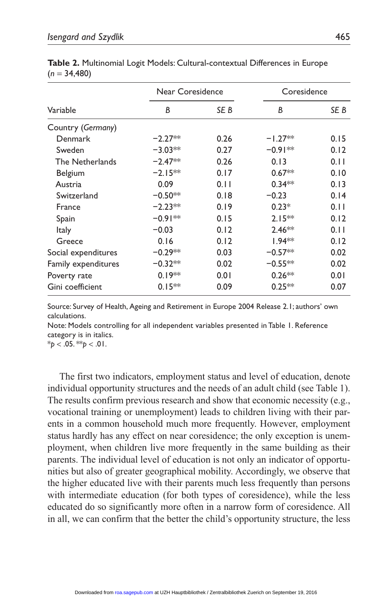|                     |           | Near Coresidence |           | Coresidence |  |
|---------------------|-----------|------------------|-----------|-------------|--|
| Variable            | B         | SE B             | B         | SE B        |  |
| Country (Germany)   |           |                  |           |             |  |
| Denmark             | $-2.27**$ | 0.26             | $-1.27**$ | 0.15        |  |
| Sweden              | $-3.03**$ | 0.27             | $-0.91**$ | 0.12        |  |
| The Netherlands     | $-2.47**$ | 0.26             | 0.13      | 0.11        |  |
| <b>Belgium</b>      | $-2.15**$ | 0.17             | $0.67**$  | 0.10        |  |
| Austria             | 0.09      | 0.11             | $0.34***$ | 0.13        |  |
| Switzerland         | $-0.50**$ | 0.18             | $-0.23$   | 0.14        |  |
| France              | $-2.23**$ | 0.19             | $0.23*$   | 0.11        |  |
| Spain               | $-0.91**$ | 0.15             | $2.15***$ | 0.12        |  |
| <b>Italy</b>        | $-0.03$   | 0.12             | $2.46**$  | 0.11        |  |
| Greece              | 0.16      | 0.12             | $1.94**$  | 0.12        |  |
| Social expenditures | $-0.29**$ | 0.03             | $-0.57**$ | 0.02        |  |
| Family expenditures | $-0.32**$ | 0.02             | $-0.55**$ | 0.02        |  |
| Poverty rate        | $0.19***$ | 0.01             | $0.26***$ | 0.01        |  |
| Gini coefficient    | $0.15**$  | 0.09             | $0.25**$  | 0.07        |  |

**Table 2.** Multinomial Logit Models: Cultural-contextual Differences in Europe  $(n = 34,480)$ 

Source: Survey of Health, Ageing and Retirement in Europe 2004 Release 2.1; authors' own calculations.

Note: Models controlling for all independent variables presented in Table 1. Reference category is in italics.

 $*_{p}$  < .05.  $*_{p}$  < .01.

The first two indicators, employment status and level of education, denote individual opportunity structures and the needs of an adult child (see Table 1). The results confirm previous research and show that economic necessity (e.g., vocational training or unemployment) leads to children living with their parents in a common household much more frequently. However, employment status hardly has any effect on near coresidence; the only exception is unemployment, when children live more frequently in the same building as their parents. The individual level of education is not only an indicator of opportunities but also of greater geographical mobility. Accordingly, we observe that the higher educated live with their parents much less frequently than persons with intermediate education (for both types of coresidence), while the less educated do so significantly more often in a narrow form of coresidence. All in all, we can confirm that the better the child's opportunity structure, the less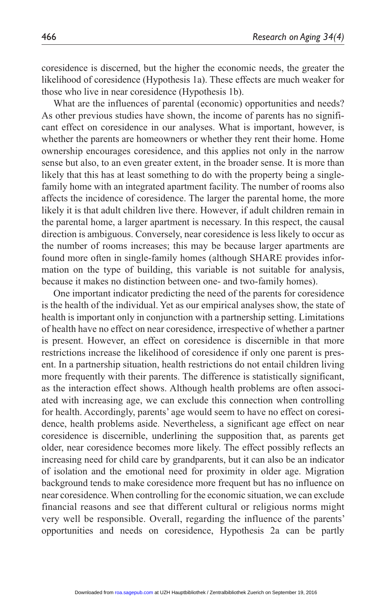coresidence is discerned, but the higher the economic needs, the greater the likelihood of coresidence (Hypothesis 1a). These effects are much weaker for those who live in near coresidence (Hypothesis 1b).

What are the influences of parental (economic) opportunities and needs? As other previous studies have shown, the income of parents has no significant effect on coresidence in our analyses. What is important, however, is whether the parents are homeowners or whether they rent their home. Home ownership encourages coresidence, and this applies not only in the narrow sense but also, to an even greater extent, in the broader sense. It is more than likely that this has at least something to do with the property being a singlefamily home with an integrated apartment facility. The number of rooms also affects the incidence of coresidence. The larger the parental home, the more likely it is that adult children live there. However, if adult children remain in the parental home, a larger apartment is necessary. In this respect, the causal direction is ambiguous. Conversely, near coresidence is less likely to occur as the number of rooms increases; this may be because larger apartments are found more often in single-family homes (although SHARE provides information on the type of building, this variable is not suitable for analysis, because it makes no distinction between one- and two-family homes).

One important indicator predicting the need of the parents for coresidence is the health of the individual. Yet as our empirical analyses show, the state of health is important only in conjunction with a partnership setting. Limitations of health have no effect on near coresidence, irrespective of whether a partner is present. However, an effect on coresidence is discernible in that more restrictions increase the likelihood of coresidence if only one parent is present. In a partnership situation, health restrictions do not entail children living more frequently with their parents. The difference is statistically significant, as the interaction effect shows. Although health problems are often associated with increasing age, we can exclude this connection when controlling for health. Accordingly, parents' age would seem to have no effect on coresidence, health problems aside. Nevertheless, a significant age effect on near coresidence is discernible, underlining the supposition that, as parents get older, near coresidence becomes more likely. The effect possibly reflects an increasing need for child care by grandparents, but it can also be an indicator of isolation and the emotional need for proximity in older age. Migration background tends to make coresidence more frequent but has no influence on near coresidence. When controlling for the economic situation, we can exclude financial reasons and see that different cultural or religious norms might very well be responsible. Overall, regarding the influence of the parents' opportunities and needs on coresidence, Hypothesis 2a can be partly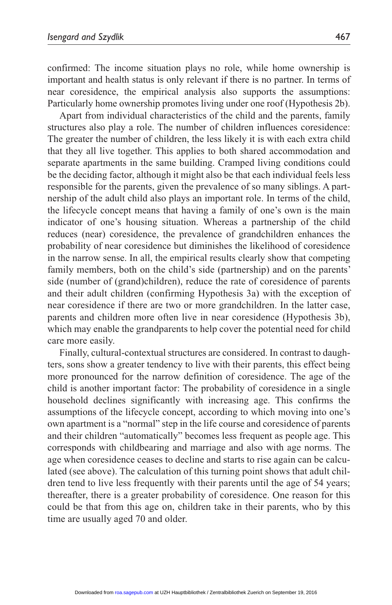confirmed: The income situation plays no role, while home ownership is important and health status is only relevant if there is no partner. In terms of near coresidence, the empirical analysis also supports the assumptions: Particularly home ownership promotes living under one roof (Hypothesis 2b).

Apart from individual characteristics of the child and the parents, family structures also play a role. The number of children influences coresidence: The greater the number of children, the less likely it is with each extra child that they all live together. This applies to both shared accommodation and separate apartments in the same building. Cramped living conditions could be the deciding factor, although it might also be that each individual feels less responsible for the parents, given the prevalence of so many siblings. A partnership of the adult child also plays an important role. In terms of the child, the lifecycle concept means that having a family of one's own is the main indicator of one's housing situation. Whereas a partnership of the child reduces (near) coresidence, the prevalence of grandchildren enhances the probability of near coresidence but diminishes the likelihood of coresidence in the narrow sense. In all, the empirical results clearly show that competing family members, both on the child's side (partnership) and on the parents' side (number of (grand)children), reduce the rate of coresidence of parents and their adult children (confirming Hypothesis 3a) with the exception of near coresidence if there are two or more grandchildren. In the latter case, parents and children more often live in near coresidence (Hypothesis 3b), which may enable the grandparents to help cover the potential need for child care more easily.

Finally, cultural-contextual structures are considered. In contrast to daughters, sons show a greater tendency to live with their parents, this effect being more pronounced for the narrow definition of coresidence. The age of the child is another important factor: The probability of coresidence in a single household declines significantly with increasing age. This confirms the assumptions of the lifecycle concept, according to which moving into one's own apartment is a "normal" step in the life course and coresidence of parents and their children "automatically" becomes less frequent as people age. This corresponds with childbearing and marriage and also with age norms. The age when coresidence ceases to decline and starts to rise again can be calculated (see above). The calculation of this turning point shows that adult children tend to live less frequently with their parents until the age of 54 years; thereafter, there is a greater probability of coresidence. One reason for this could be that from this age on, children take in their parents, who by this time are usually aged 70 and older.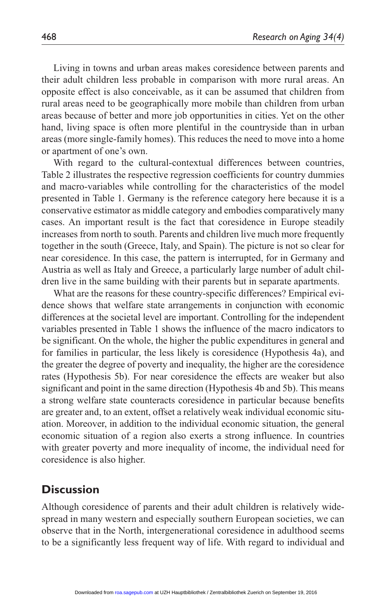Living in towns and urban areas makes coresidence between parents and their adult children less probable in comparison with more rural areas. An opposite effect is also conceivable, as it can be assumed that children from rural areas need to be geographically more mobile than children from urban areas because of better and more job opportunities in cities. Yet on the other hand, living space is often more plentiful in the countryside than in urban areas (more single-family homes). This reduces the need to move into a home or apartment of one's own.

With regard to the cultural-contextual differences between countries, Table 2 illustrates the respective regression coefficients for country dummies and macro-variables while controlling for the characteristics of the model presented in Table 1. Germany is the reference category here because it is a conservative estimator as middle category and embodies comparatively many cases. An important result is the fact that coresidence in Europe steadily increases from north to south. Parents and children live much more frequently together in the south (Greece, Italy, and Spain). The picture is not so clear for near coresidence. In this case, the pattern is interrupted, for in Germany and Austria as well as Italy and Greece, a particularly large number of adult children live in the same building with their parents but in separate apartments.

What are the reasons for these country-specific differences? Empirical evidence shows that welfare state arrangements in conjunction with economic differences at the societal level are important. Controlling for the independent variables presented in Table 1 shows the influence of the macro indicators to be significant. On the whole, the higher the public expenditures in general and for families in particular, the less likely is coresidence (Hypothesis 4a), and the greater the degree of poverty and inequality, the higher are the coresidence rates (Hypothesis 5b). For near coresidence the effects are weaker but also significant and point in the same direction (Hypothesis 4b and 5b). This means a strong welfare state counteracts coresidence in particular because benefits are greater and, to an extent, offset a relatively weak individual economic situation. Moreover, in addition to the individual economic situation, the general economic situation of a region also exerts a strong influence. In countries with greater poverty and more inequality of income, the individual need for coresidence is also higher.

#### **Discussion**

Although coresidence of parents and their adult children is relatively widespread in many western and especially southern European societies, we can observe that in the North, intergenerational coresidence in adulthood seems to be a significantly less frequent way of life. With regard to individual and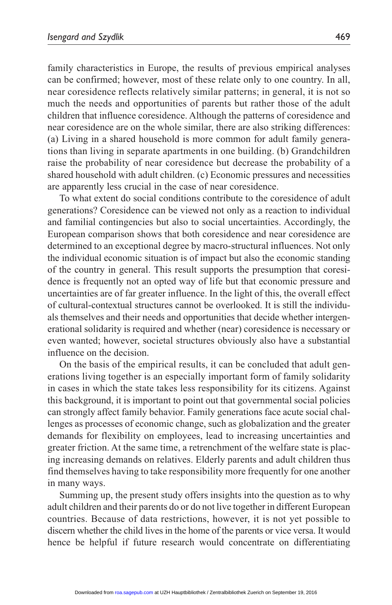family characteristics in Europe, the results of previous empirical analyses can be confirmed; however, most of these relate only to one country. In all, near coresidence reflects relatively similar patterns; in general, it is not so much the needs and opportunities of parents but rather those of the adult children that influence coresidence. Although the patterns of coresidence and near coresidence are on the whole similar, there are also striking differences: (a) Living in a shared household is more common for adult family generations than living in separate apartments in one building. (b) Grandchildren raise the probability of near coresidence but decrease the probability of a shared household with adult children. (c) Economic pressures and necessities are apparently less crucial in the case of near coresidence.

To what extent do social conditions contribute to the coresidence of adult generations? Coresidence can be viewed not only as a reaction to individual and familial contingencies but also to social uncertainties. Accordingly, the European comparison shows that both coresidence and near coresidence are determined to an exceptional degree by macro-structural influences. Not only the individual economic situation is of impact but also the economic standing of the country in general. This result supports the presumption that coresidence is frequently not an opted way of life but that economic pressure and uncertainties are of far greater influence. In the light of this, the overall effect of cultural-contextual structures cannot be overlooked. It is still the individuals themselves and their needs and opportunities that decide whether intergenerational solidarity is required and whether (near) coresidence is necessary or even wanted; however, societal structures obviously also have a substantial influence on the decision.

On the basis of the empirical results, it can be concluded that adult generations living together is an especially important form of family solidarity in cases in which the state takes less responsibility for its citizens. Against this background, it is important to point out that governmental social policies can strongly affect family behavior. Family generations face acute social challenges as processes of economic change, such as globalization and the greater demands for flexibility on employees, lead to increasing uncertainties and greater friction. At the same time, a retrenchment of the welfare state is placing increasing demands on relatives. Elderly parents and adult children thus find themselves having to take responsibility more frequently for one another in many ways.

Summing up, the present study offers insights into the question as to why adult children and their parents do or do not live together in different European countries. Because of data restrictions, however, it is not yet possible to discern whether the child lives in the home of the parents or vice versa. It would hence be helpful if future research would concentrate on differentiating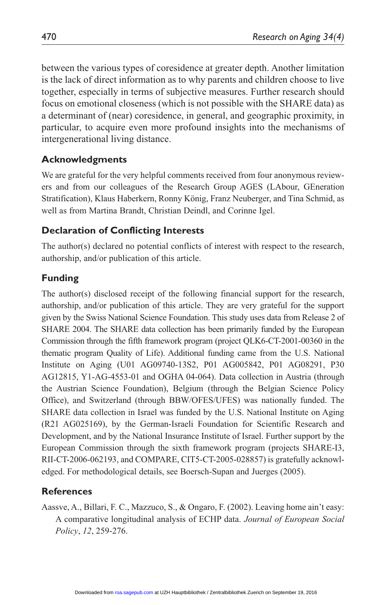between the various types of coresidence at greater depth. Another limitation is the lack of direct information as to why parents and children choose to live together, especially in terms of subjective measures. Further research should focus on emotional closeness (which is not possible with the SHARE data) as a determinant of (near) coresidence, in general, and geographic proximity, in particular, to acquire even more profound insights into the mechanisms of intergenerational living distance.

#### **Acknowledgments**

We are grateful for the very helpful comments received from four anonymous reviewers and from our colleagues of the Research Group AGES (LAbour, GEneration Stratification), Klaus Haberkern, Ronny König, Franz Neuberger, and Tina Schmid, as well as from Martina Brandt, Christian Deindl, and Corinne Igel.

#### **Declaration of Conflicting Interests**

The author(s) declared no potential conflicts of interest with respect to the research, authorship, and/or publication of this article.

#### **Funding**

The author(s) disclosed receipt of the following financial support for the research, authorship, and/or publication of this article. They are very grateful for the support given by the Swiss National Science Foundation. This study uses data from Release 2 of SHARE 2004. The SHARE data collection has been primarily funded by the European Commission through the fifth framework program (project QLK6-CT-2001-00360 in the thematic program Quality of Life). Additional funding came from the U.S. National Institute on Aging (U01 AG09740-13S2, P01 AG005842, P01 AG08291, P30 AG12815, Y1-AG-4553-01 and OGHA 04-064). Data collection in Austria (through the Austrian Science Foundation), Belgium (through the Belgian Science Policy Office), and Switzerland (through BBW/OFES/UFES) was nationally funded. The SHARE data collection in Israel was funded by the U.S. National Institute on Aging (R21 AG025169), by the German-Israeli Foundation for Scientific Research and Development, and by the National Insurance Institute of Israel. Further support by the European Commission through the sixth framework program (projects SHARE-I3, RII-CT-2006-062193, and COMPARE, CIT5-CT-2005-028857) is gratefully acknowledged. For methodological details, see Boersch-Supan and Juerges (2005).

#### **References**

Aassve, A., Billari, F. C., Mazzuco, S., & Ongaro, F. (2002). Leaving home ain't easy: A comparative longitudinal analysis of ECHP data. *Journal of European Social Policy*, *12*, 259-276.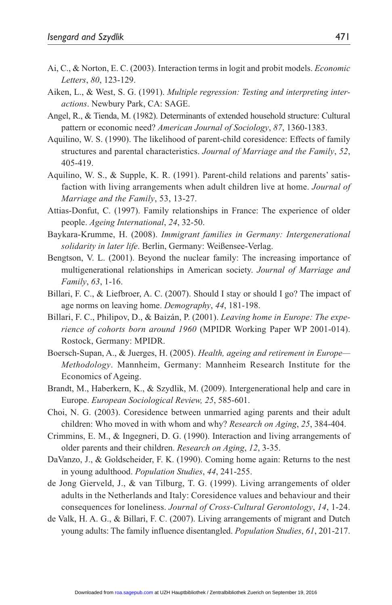- Ai, C., & Norton, E. C. (2003). Interaction terms in logit and probit models. *Economic Letters*, *80*, 123-129.
- Aiken, L., & West, S. G. (1991). *Multiple regression: Testing and interpreting interactions*. Newbury Park, CA: Sage.
- Angel, R., & Tienda, M. (1982). Determinants of extended household structure: Cultural pattern or economic need? *American Journal of Sociology*, *87*, 1360-1383.
- Aquilino, W. S. (1990). The likelihood of parent-child coresidence: Effects of family structures and parental characteristics. *Journal of Marriage and the Family*, *52*, 405-419.
- Aquilino, W. S., & Supple, K. R. (1991). Parent-child relations and parents' satisfaction with living arrangements when adult children live at home. *Journal of Marriage and the Family*, 53, 13-27.
- Attias-Donfut, C. (1997). Family relationships in France: The experience of older people. *Ageing International*, *24*, 32-50.
- Baykara-Krumme, H. (2008). *Immigrant families in Germany: Intergenerational solidarity in later life*. Berlin, Germany: Weißensee-Verlag.
- Bengtson, V. L. (2001). Beyond the nuclear family: The increasing importance of multigenerational relationships in American society. *Journal of Marriage and Family*, *63*, 1-16.
- Billari, F. C., & Liefbroer, A. C. (2007). Should I stay or should I go? The impact of age norms on leaving home. *Demography*, *44*, 181-198.
- Billari, F. C., Philipov, D., & Baizán, P. (2001). *Leaving home in Europe: The experience of cohorts born around 1960* (MPIDR Working Paper WP 2001-014). Rostock, Germany: MPIDR.
- Boersch-Supan, A., & Juerges, H. (2005). *Health, ageing and retirement in Europe— Methodology*. Mannheim, Germany: Mannheim Research Institute for the Economics of Ageing.
- Brandt, M., Haberkern, K., & Szydlik, M. (2009). Intergenerational help and care in Europe. *European Sociological Review, 25*, 585-601.
- Choi, N. G. (2003). Coresidence between unmarried aging parents and their adult children: Who moved in with whom and why? *Research on Aging*, *25*, 384-404.
- Crimmins, E. M., & Ingegneri, D. G. (1990). Interaction and living arrangements of older parents and their children. *Research on Aging*, *12*, 3-35.
- DaVanzo, J., & Goldscheider, F. K. (1990). Coming home again: Returns to the nest in young adulthood. *Population Studies*, *44*, 241-255.
- de Jong Gierveld, J., & van Tilburg, T. G. (1999). Living arrangements of older adults in the Netherlands and Italy: Coresidence values and behaviour and their consequences for loneliness. *Journal of Cross-Cultural Gerontology*, *14*, 1-24.
- de Valk, H. A. G., & Billari, F. C. (2007). Living arrangements of migrant and Dutch young adults: The family influence disentangled. *Population Studies*, *61*, 201-217.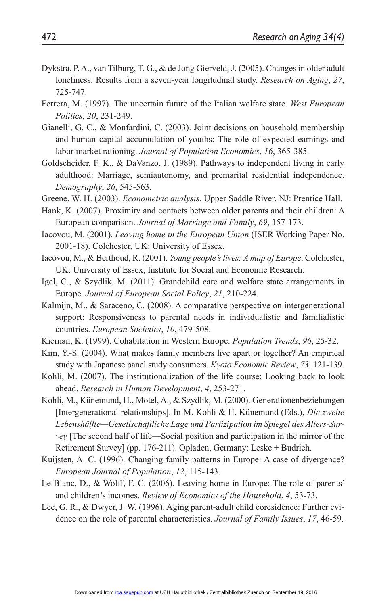- Dykstra, P. A., van Tilburg, T. G., & de Jong Gierveld, J. (2005). Changes in older adult loneliness: Results from a seven-year longitudinal study. *Research on Aging*, *27*, 725-747.
- Ferrera, M. (1997). The uncertain future of the Italian welfare state. *West European Politics*, *20*, 231-249.
- Gianelli, G. C., & Monfardini, C. (2003). Joint decisions on household membership and human capital accumulation of youths: The role of expected earnings and labor market rationing. *Journal of Population Economics*, *16*, 365-385.
- Goldscheider, F. K., & DaVanzo, J. (1989). Pathways to independent living in early adulthood: Marriage, semiautonomy, and premarital residential independence. *Demography*, *26*, 545-563.
- Greene, W. H. (2003). *Econometric analysis*. Upper Saddle River, NJ: Prentice Hall.
- Hank, K. (2007). Proximity and contacts between older parents and their children: A European comparison. *Journal of Marriage and Family*, *69*, 157-173.
- Iacovou, M. (2001). *Leaving home in the European Union* (ISER Working Paper No. 2001-18). Colchester, UK: University of Essex.
- Iacovou, M., & Berthoud, R. (2001). *Young people's lives: A map of Europe*. Colchester, UK: University of Essex, Institute for Social and Economic Research.
- Igel, C., & Szydlik, M. (2011). Grandchild care and welfare state arrangements in Europe. *Journal of European Social Policy*, *21*, 210-224.
- Kalmijn, M., & Saraceno, C. (2008). A comparative perspective on intergenerational support: Responsiveness to parental needs in individualistic and familialistic countries. *European Societies*, *10*, 479-508.
- Kiernan, K. (1999). Cohabitation in Western Europe. *Population Trends*, *96*, 25-32.
- Kim, Y.-S. (2004). What makes family members live apart or together? An empirical study with Japanese panel study consumers. *Kyoto Economic Review*, *73*, 121-139.
- Kohli, M. (2007). The institutionalization of the life course: Looking back to look ahead. *Research in Human Development*, *4*, 253-271.
- Kohli, M., Künemund, H., Motel, A., & Szydlik, M. (2000). Generationenbeziehungen [Intergenerational relationships]. In M. Kohli & H. Künemund (Eds.), *Die zweite Lebenshälfte—Gesellschaftliche Lage und Partizipation im Spiegel des Alters-Survey* [The second half of life—Social position and participation in the mirror of the Retirement Survey] (pp. 176-211). Opladen, Germany: Leske + Budrich.
- Kuijsten, A. C. (1996). Changing family patterns in Europe: A case of divergence? *European Journal of Population*, *12*, 115-143.
- Le Blanc, D., & Wolff, F.-C. (2006). Leaving home in Europe: The role of parents' and children's incomes. *Review of Economics of the Household*, *4*, 53-73.
- Lee, G. R., & Dwyer, J. W. (1996). Aging parent-adult child coresidence: Further evidence on the role of parental characteristics. *Journal of Family Issues*, *17*, 46-59.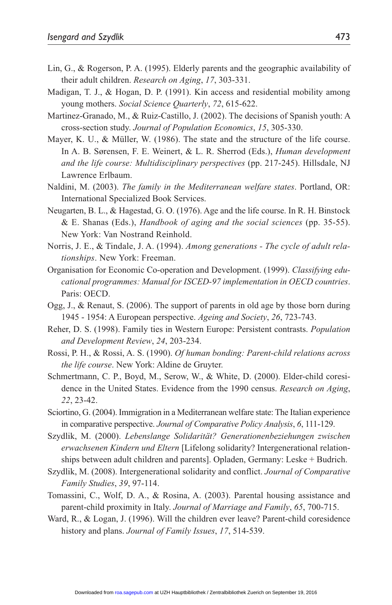- Lin, G., & Rogerson, P. A. (1995). Elderly parents and the geographic availability of their adult children. *Research on Aging*, *17*, 303-331.
- Madigan, T. J., & Hogan, D. P. (1991). Kin access and residential mobility among young mothers. *Social Science Quarterly*, *72*, 615-622.
- Martinez-Granado, M., & Ruiz-Castillo, J. (2002). The decisions of Spanish youth: A cross-section study. *Journal of Population Economics*, *15*, 305-330.
- Mayer, K. U., & Müller, W. (1986). The state and the structure of the life course. In A. B. Sørensen, F. E. Weinert, & L. R. Sherrod (Eds.), *Human development and the life course: Multidisciplinary perspectives* (pp. 217-245). Hillsdale, NJ Lawrence Erlbaum.
- Naldini, M. (2003). *The family in the Mediterranean welfare states*. Portland, OR: International Specialized Book Services.
- Neugarten, B. L., & Hagestad, G. O. (1976). Age and the life course. In R. H. Binstock & E. Shanas (Eds.), *Handbook of aging and the social sciences* (pp. 35-55). New York: Van Nostrand Reinhold.
- Norris, J. E., & Tindale, J. A. (1994). *Among generations The cycle of adult relationships*. New York: Freeman.
- Organisation for Economic Co-operation and Development. (1999). *Classifying educational programmes: Manual for ISCED-97 implementation in OECD countries*. Paris: OECD.
- Ogg, J., & Renaut, S. (2006). The support of parents in old age by those born during 1945 - 1954: A European perspective. *Ageing and Society*, *26*, 723-743.
- Reher, D. S. (1998). Family ties in Western Europe: Persistent contrasts. *Population and Development Review*, *24*, 203-234.
- Rossi, P. H., & Rossi, A. S. (1990). *Of human bonding: Parent-child relations across the life course*. New York: Aldine de Gruyter.
- Schmertmann, C. P., Boyd, M., Serow, W., & White, D. (2000). Elder-child coresidence in the United States. Evidence from the 1990 census. *Research on Aging*, *22*, 23-42.
- Sciortino, G. (2004). Immigration in a Mediterranean welfare state: The Italian experience in comparative perspective. *Journal of Comparative Policy Analysis*, *6*, 111-129.
- Szydlik, M. (2000). *Lebenslange Solidarität? Generationenbeziehungen zwischen erwachsenen Kindern und Eltern* [Lifelong solidarity? Intergenerational relationships between adult children and parents]. Opladen, Germany: Leske + Budrich.
- Szydlik, M. (2008). Intergenerational solidarity and conflict. *Journal of Comparative Family Studies*, *39*, 97-114.
- Tomassini, C., Wolf, D. A., & Rosina, A. (2003). Parental housing assistance and parent-child proximity in Italy. *Journal of Marriage and Family*, *65*, 700-715.
- Ward, R., & Logan, J. (1996). Will the children ever leave? Parent-child coresidence history and plans. *Journal of Family Issues*, *17*, 514-539.